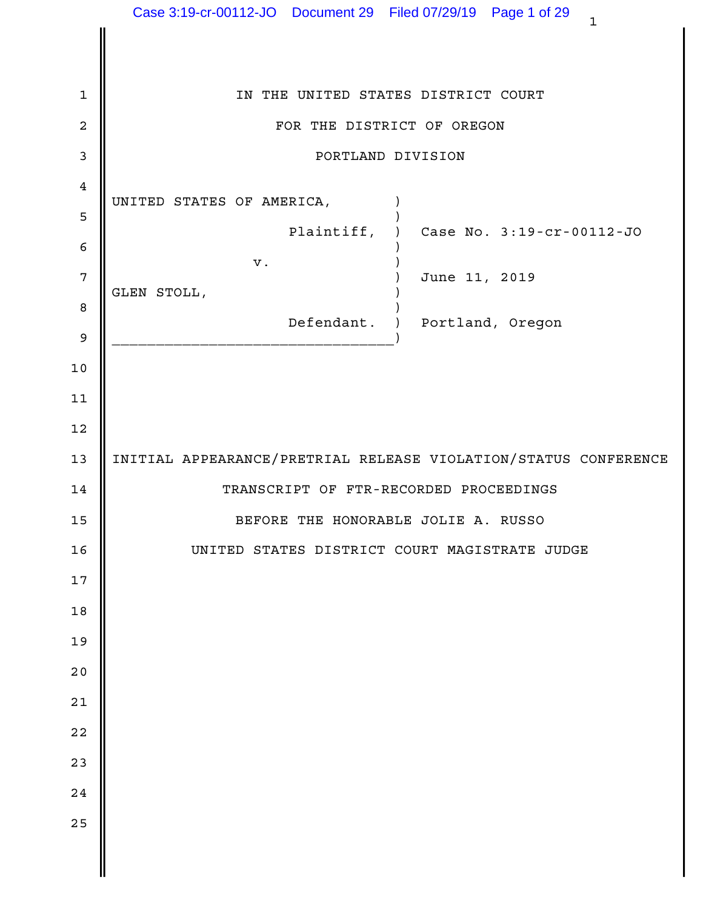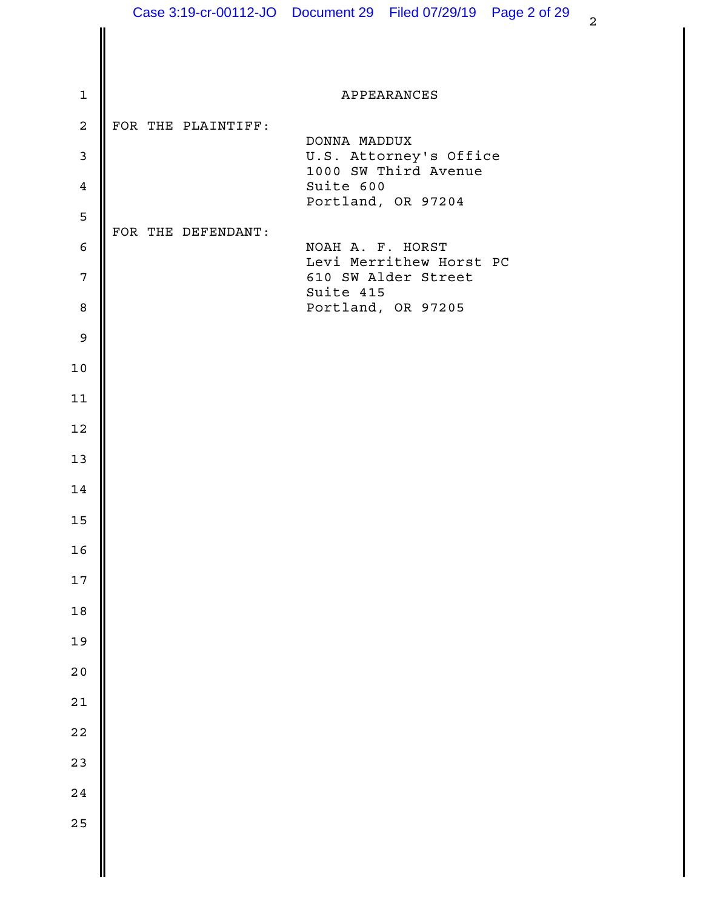|                  |                    | Case 3:19-cr-00112-JO  Document 29  Filed 07/29/19  Page 2 of 29<br>$\overline{a}$ |
|------------------|--------------------|------------------------------------------------------------------------------------|
|                  |                    |                                                                                    |
| $\mathbf{1}$     |                    | APPEARANCES                                                                        |
| $\overline{a}$   | FOR THE PLAINTIFF: |                                                                                    |
| $\mathbf{3}$     |                    | DONNA MADDUX<br>U.S. Attorney's Office                                             |
| $\overline{4}$   |                    | 1000 SW Third Avenue<br>Suite 600                                                  |
| 5                |                    | Portland, OR 97204                                                                 |
| $\epsilon$       | FOR THE DEFENDANT: | NOAH A. F. HORST                                                                   |
| $\overline{7}$   |                    | Levi Merrithew Horst PC<br>610 SW Alder Street                                     |
| $\boldsymbol{8}$ |                    | Suite 415<br>Portland, OR 97205                                                    |
| $\overline{9}$   |                    |                                                                                    |
| $10$             |                    |                                                                                    |
| 11               |                    |                                                                                    |
| 12               |                    |                                                                                    |
| 13               |                    |                                                                                    |
| 14               |                    |                                                                                    |
| $15$             |                    |                                                                                    |
| $16$             |                    |                                                                                    |
| $17\,$           |                    |                                                                                    |
| $1\,8$           |                    |                                                                                    |
| 19               |                    |                                                                                    |
| $2\,0$           |                    |                                                                                    |
| $2\sqrt{1}$      |                    |                                                                                    |
| $2\sqrt{2}$      |                    |                                                                                    |
| 23               |                    |                                                                                    |
| 24               |                    |                                                                                    |
| 25               |                    |                                                                                    |
|                  |                    |                                                                                    |
|                  |                    |                                                                                    |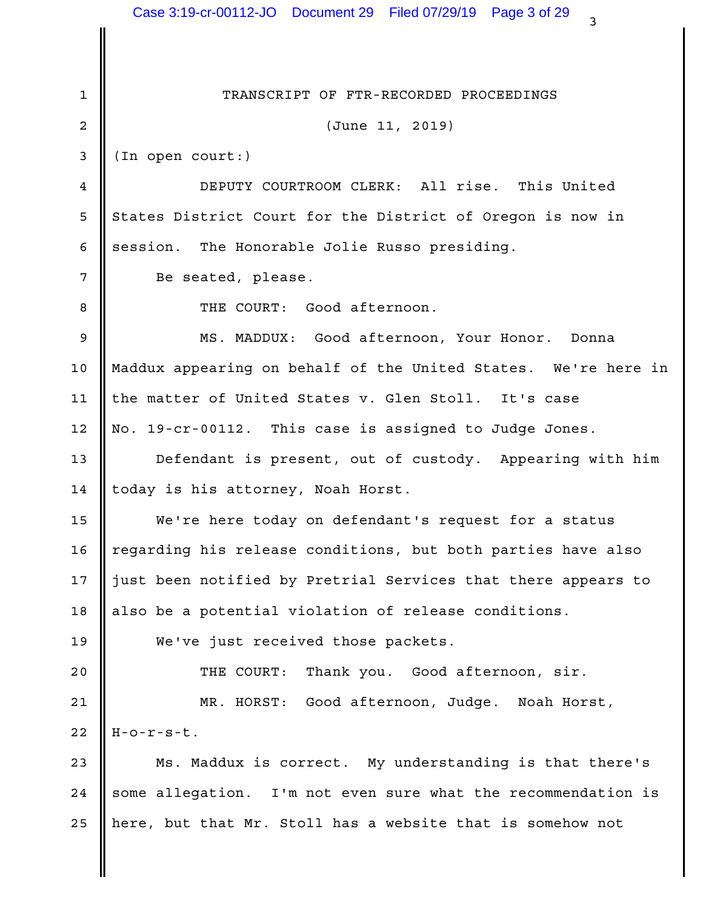|                 | Case 3:19-cr-00112-JO  Document 29  Filed 07/29/19  Page 3 of 29<br>3 |  |
|-----------------|-----------------------------------------------------------------------|--|
|                 |                                                                       |  |
| $\mathbf 1$     | TRANSCRIPT OF FTR-RECORDED PROCEEDINGS                                |  |
| 2               | (June 11, 2019)                                                       |  |
| 3               | (In open court:)                                                      |  |
| 4               | DEPUTY COURTROOM CLERK: All rise. This United                         |  |
| 5               | States District Court for the District of Oregon is now in            |  |
| 6               | session. The Honorable Jolie Russo presiding.                         |  |
| 7               | Be seated, please.                                                    |  |
| 8               | THE COURT: Good afternoon.                                            |  |
| 9               | MS. MADDUX: Good afternoon, Your Honor.<br>Donna                      |  |
| 10              | Maddux appearing on behalf of the United States. We're here in        |  |
| 11              | the matter of United States v. Glen Stoll. It's case                  |  |
| 12              | No. 19-cr-00112. This case is assigned to Judge Jones.                |  |
| 13              | Defendant is present, out of custody. Appearing with him              |  |
| 14              | today is his attorney, Noah Horst.                                    |  |
| 15 <sub>1</sub> | We're here today on defendant's request for a status                  |  |
| 16              | regarding his release conditions, but both parties have also          |  |
| 17              | just been notified by Pretrial Services that there appears to         |  |
| 18              | also be a potential violation of release conditions.                  |  |
| 19              | We've just received those packets.                                    |  |
| 20              | THE COURT: Thank you. Good afternoon, sir.                            |  |
| 21              | MR. HORST: Good afternoon, Judge. Noah Horst,                         |  |
| 22              | $H-O-T-S-t.$                                                          |  |
| 23              | Ms. Maddux is correct. My understanding is that there's               |  |
| 24              | some allegation. I'm not even sure what the recommendation is         |  |
| 25              | here, but that Mr. Stoll has a website that is somehow not            |  |
|                 |                                                                       |  |
|                 |                                                                       |  |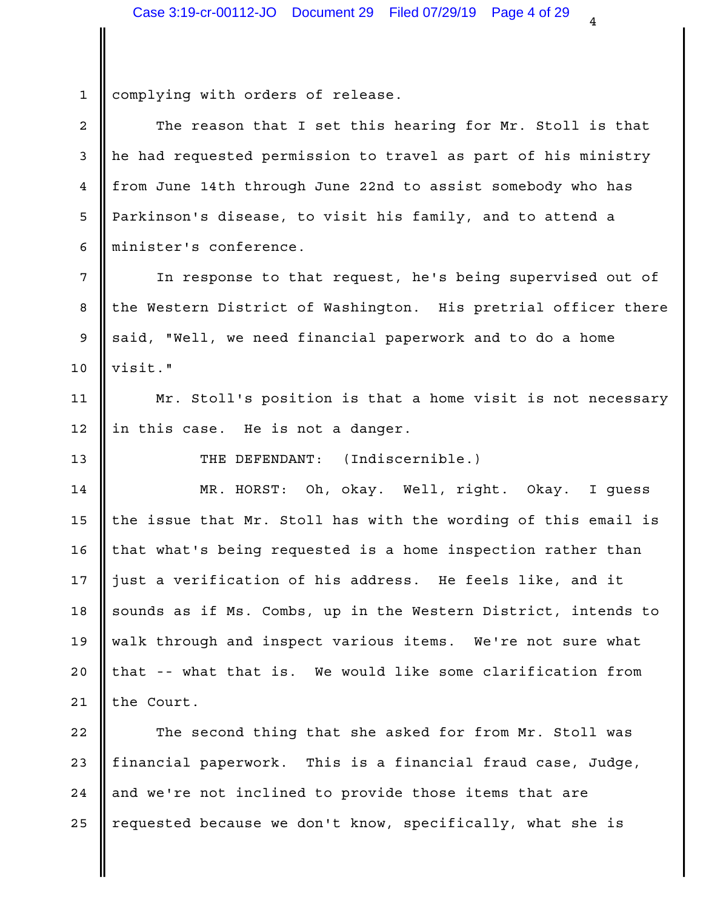1 complying with orders of release.  $2 \parallel$  The reason that I set this hearing for Mr. Stoll is that  $\parallel$ 3 || he had requested permission to travel as part of his ministry | 4 || from June 14th through June 22nd to assist somebody who has 5 || Parkinson's disease, to visit his family, and to attend a 6 || minister's conference. 7 || In response to that request, he's being supervised out of 8 || the Western District of Washington. His pretrial officer there | 9 || said, "Well, we need financial paperwork and to do a home visit." 10 11 || Mr. Stoll's position is that a home visit is not necessary |  $12$  || in this case. He is not a danger. 13 Number 13 Number 13 Number 13 Number 13 Number 13 Number 13 Number 13 Number 1 MR. HORST: Oh, okay. Well, right. Okay. I guess 14 15  $\parallel$  the issue that Mr. Stoll has with the wording of this email is  $\parallel$ 16 || that what's being requested is a home inspection rather than 17  $\parallel$  just a verification of his address. He feels like, and it  $\parallel$ 18 || sounds as if Ms. Combs, up in the Western District, intends to || 19 || walk through and inspect various items. We're not sure what 20 || that -- what that is. We would like some clarification from || 21  $\parallel$  the Court. 22 || The second thing that she asked for from Mr. Stoll was | 23 || financial paperwork. This is a financial fraud case, Judge, | 24 || and we're not inclined to provide those items that are

25 || requested because we don't know, specifically, what she is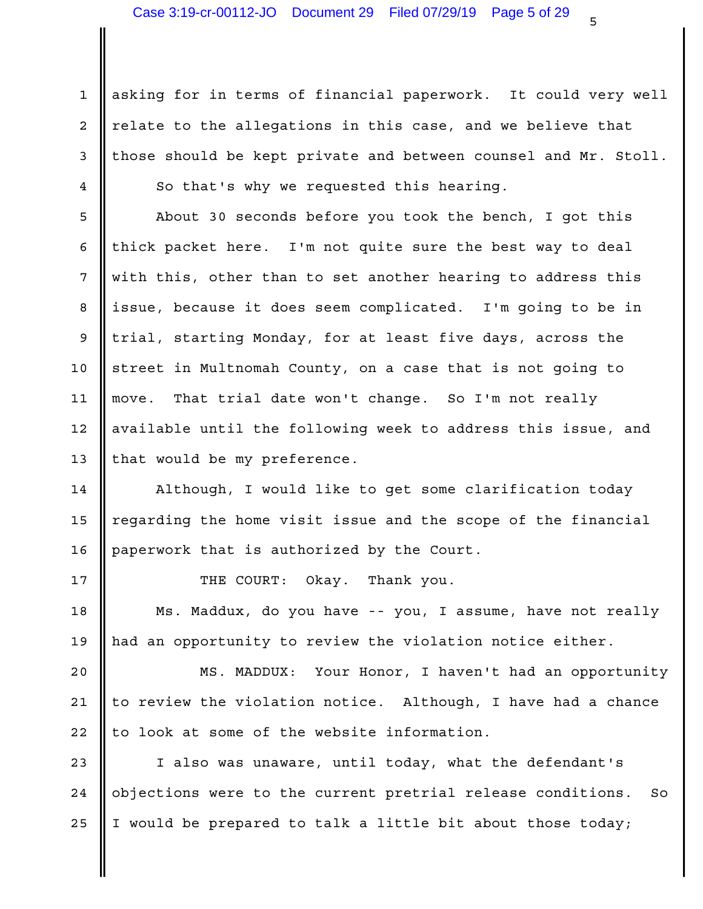1 || asking for in terms of financial paperwork. It could very well |  $2$  | relate to the allegations in this case, and we believe that  $\qquad$  |  $3$  | those should be kept private and between counsel and Mr. Stoll.  $\vert$ 4 So that's why we requested this hearing.

5 || About 30 seconds before you took the bench, I got this 6  $\parallel$  thick packet here. I'm not quite sure the best way to deal  $\parallel$ 7 || with this, other than to set another hearing to address this 8 ||issue, because it does seem complicated. I'm going to be in 9 || trial, starting Monday, for at least five days, across the 10 || street in Multnomah County, on a case that is not going to the set of the st 11 || move. That trial date won't change. So I'm not really which 12 || available until the following week to address this issue, and 13 || that would be my preference.

Although, I would like to get some clarification today 14 15  $\parallel$  regarding the home visit issue and the scope of the financial  $\parallel$ 16 paperwork that is authorized by the Court.

17 **I** THE COURT: Okay. Thank you.

Ms. Maddux, do you have -- you, I assume, have not really 18 19 || had an opportunity to review the violation notice either.

20 || MS. MADDUX: Your Honor, I haven't had an opportunity | 21  $\parallel$  to review the violation notice. Although, I have had a chance  $\parallel$ 22  $\parallel$  to look at some of the website information.

23 || I also was unaware, until today, what the defendant's 24 || objections were to the current pretrial release conditions. So | 25  $\parallel$  I would be prepared to talk a little bit about those today;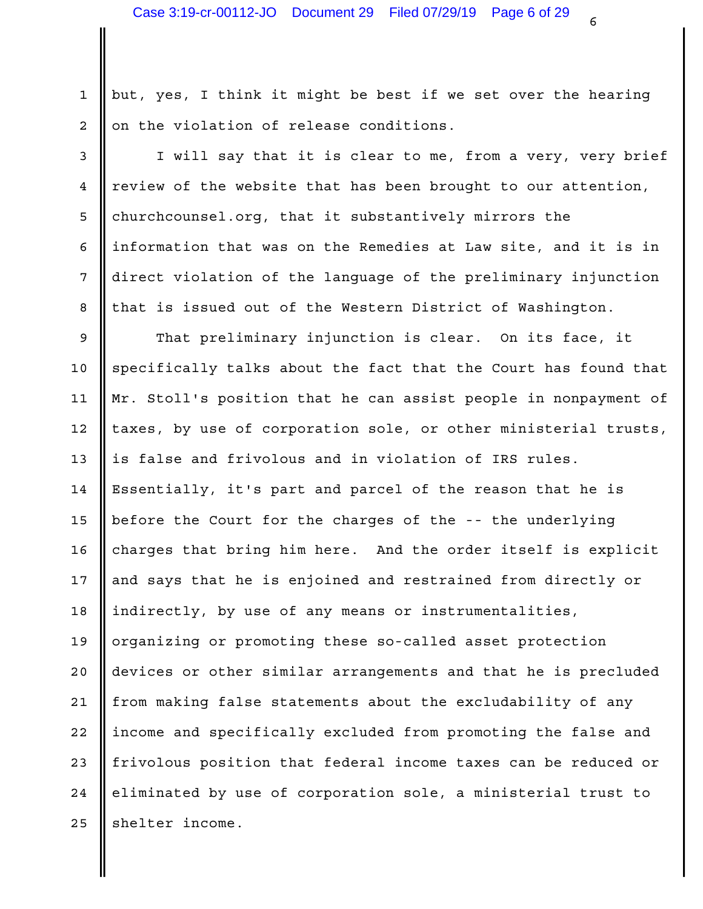1 || but, yes, I think it might be best if we set over the hearing 2 || on the violation of release conditions.

3 || I will say that it is clear to me, from a very, very brief | 4 || review of the website that has been brought to our attention, 5 churchcounsel.org, that it substantively mirrors the 6 ||information that was on the Remedies at Law site, and it is in 7 || direct violation of the language of the preliminary injunction | 8 || that is issued out of the Western District of Washington.

9 || That preliminary injunction is clear. On its face, it | 10 Specifically talks about the fact that the Court has found that 11 || Mr. Stoll's position that he can assist people in nonpayment of | 12 || taxes, by use of corporation sole, or other ministerial trusts, | 13 || is false and frivolous and in violation of IRS rules. 14 | Essentially, it's part and parcel of the reason that he is 15 || before the Court for the charges of the -- the underlying 16 || charges that bring him here. And the order itself is explicit | 17  $\parallel$  and says that he is enjoined and restrained from directly or  $\parallel$ 18 ||indirectly, by use of any means or instrumentalities, which is 19 || organizing or promoting these so-called asset protection 20 || devices or other similar arrangements and that he is precluded | 21 || from making false statements about the excludability of any 22 ||income and specifically excluded from promoting the false and 23 || frivolous position that federal income taxes can be reduced or 24 || eliminated by use of corporation sole, a ministerial trust to  $\qquad \qquad \mid$ 25 || shelter income.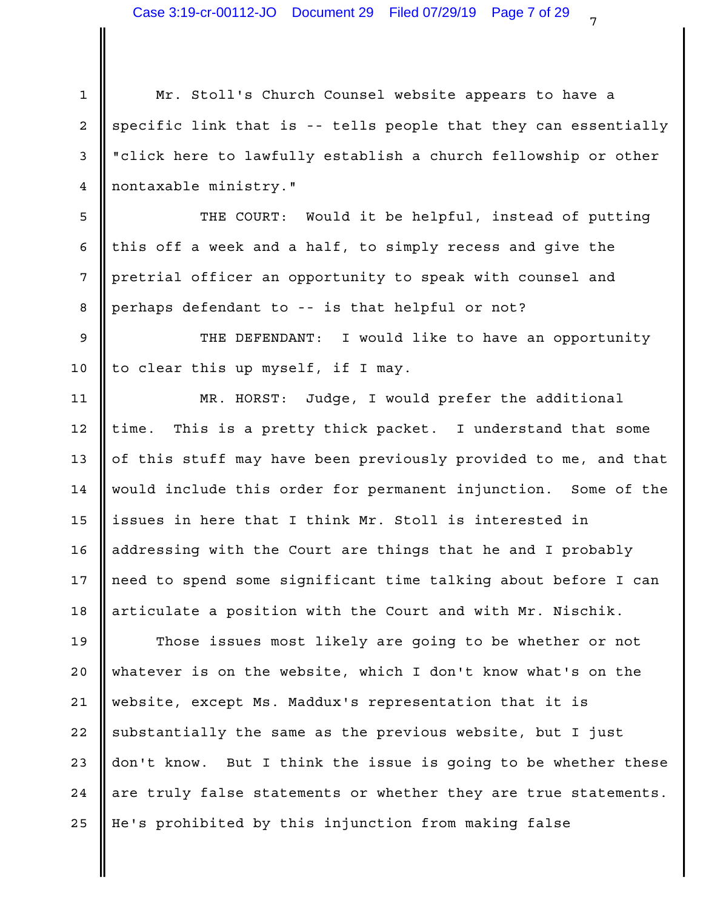| $\mathbf{1}$    | Mr. Stoll's Church Counsel website appears to have a            |  |
|-----------------|-----------------------------------------------------------------|--|
| 2               | specific link that is -- tells people that they can essentially |  |
| 3               | "click here to lawfully establish a church fellowship or other  |  |
| $\overline{4}$  | nontaxable ministry."                                           |  |
| 5               | THE COURT: Would it be helpful, instead of putting              |  |
| 6               | this off a week and a half, to simply recess and give the       |  |
| $7\phantom{.0}$ | pretrial officer an opportunity to speak with counsel and       |  |
| 8               | perhaps defendant to -- is that helpful or not?                 |  |
| 9               | THE DEFENDANT: I would like to have an opportunity              |  |
| 10              | to clear this up myself, if I may.                              |  |
| 11              | MR. HORST: Judge, I would prefer the additional                 |  |
| 12              | time. This is a pretty thick packet. I understand that some     |  |
| 13              | of this stuff may have been previously provided to me, and that |  |
| 14              | would include this order for permanent injunction. Some of the  |  |
| 15 <sub>1</sub> | issues in here that I think Mr. Stoll is interested in          |  |
| 16              | addressing with the Court are things that he and I probably     |  |
| 17              | need to spend some significant time talking about before I can  |  |
| 18              | articulate a position with the Court and with Mr. Nischik.      |  |
| 19              | Those issues most likely are going to be whether or not         |  |
| 20              | whatever is on the website, which I don't know what's on the    |  |
| 21              | website, except Ms. Maddux's representation that it is          |  |
| 22              | substantially the same as the previous website, but I just      |  |
| 23              | don't know. But I think the issue is going to be whether these  |  |
| 24              | are truly false statements or whether they are true statements. |  |
| 25              | He's prohibited by this injunction from making false            |  |

║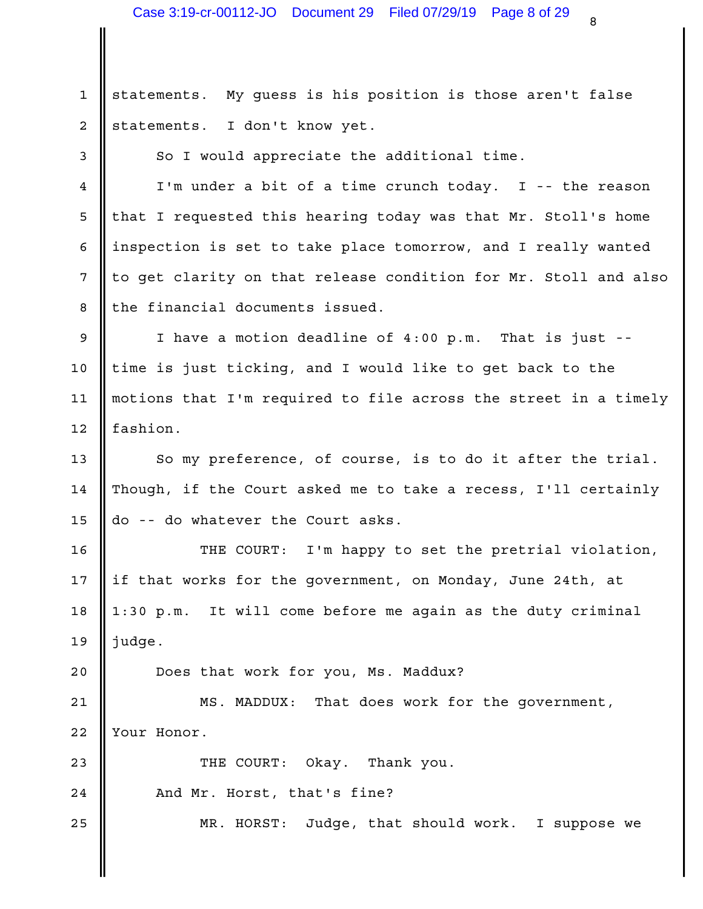My quess is his position is those aren't false 2 statements. I don't know yet.  $1 \parallel$  statements.

3 So I would appreciate the additional time.

4 || I'm under a bit of a time crunch today. I -- the reason 5 || that I requested this hearing today was that Mr. Stoll's home 6 ||inspection is set to take place tomorrow, and I really wanted | 7 || to get clarity on that release condition for Mr. Stoll and also | 8 || the financial documents issued.

9 || I have a motion deadline of 4:00 p.m. That is just -- || 10 || time is just ticking, and I would like to get back to the the the the 11 || motions that I'm required to file across the street in a timely | 12 Solution.

13  $\parallel$  So my preference, of course, is to do it after the trial.  $\parallel$ 14  $\parallel$  Though, if the Court asked me to take a recess, I'll certainly  $\parallel$ 15  $\parallel$  do -- do whatever the Court asks.

I'm happy to set the pretrial violation, 17 || if that works for the government, on Monday, June 24th, at 18 || 1:30 p.m. It will come before me again as the duty criminal 19 judge. 16 **I** THE COURT:

20 || Does that work for you, Ms. Maddux?

21 || MS. MADDUX: That does work for the government, | 22 Vour Honor.

23 **C** THE COURT: Okay. Thank you. 24 **||** And Mr. Horst, that's fine? 25  $\parallel$  MR. HORST: Judge, that should work. I suppose we  $\parallel$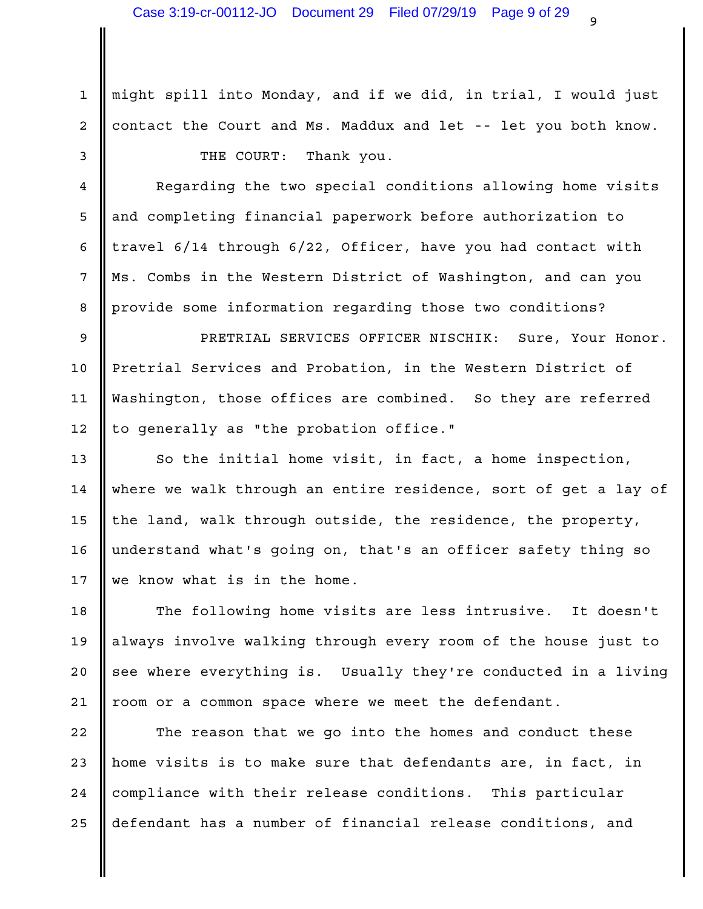1 || might spill into Monday, and if we did, in trial, I would just 2 || contact the Court and Ms. Maddux and let -- let you both know. | 3 SOMETHE COURT: Thank you.

4 | Regarding the two special conditions allowing home visits 5 || and completing financial paperwork before authorization to 6  $\parallel$  travel 6/14 through 6/22, Officer, have you had contact with  $\parallel$ 7 || Ms. Combs in the Western District of Washington, and can you 8 || provide some information regarding those two conditions?

PRETRIAL SERVICES OFFICER NISCHIK: Sure, Your Honor. 9 10 Pretrial Services and Probation, in the Western District of 11 ||Washington, those offices are combined. So they are referred | 12 || to generally as "the probation office."

13 || So the initial home visit, in fact, a home inspection, Theory 14 || where we walk through an entire residence, sort of get a lay of | 15  $\parallel$  the land, walk through outside, the residence, the property,  $\parallel$ 16 || understand what's going on, that's an officer safety thing so 17 We know what is in the home.

18 || The following home visits are less intrusive. It doesn't | 19 || always involve walking through every room of the house just to  $\qquad \vert$ 20 || see where everything is. Usually they're conducted in a living | 21 || room or a common space where we meet the defendant.

22 || The reason that we go into the homes and conduct these | 23 || home visits is to make sure that defendants are, in fact, in 24 || compliance with their release conditions. This particular 25 || defendant has a number of financial release conditions, and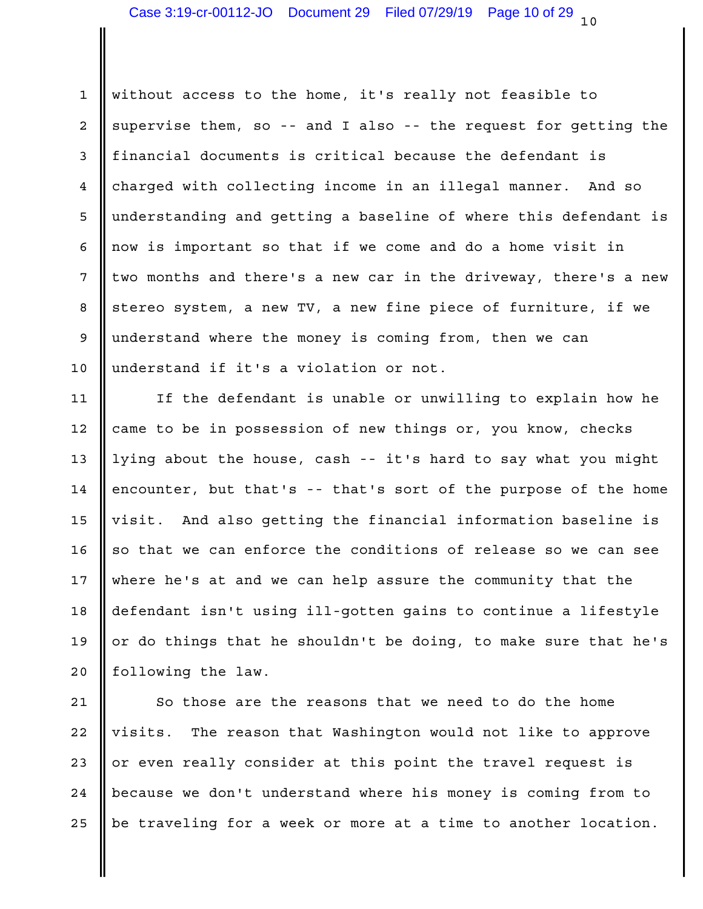1 || without access to the home, it's really not feasible to 2  $\parallel$  supervise them, so -- and I also -- the request for getting the  $\parallel$ 3 || financial documents is critical because the defendant is 4 || charged with collecting income in an illegal manner. And so 5 || understanding and getting a baseline of where this defendant is | 6 || now is important so that if we come and do a home visit in  $\vert$  $\frac{1}{2}$  two months and there's a new car in the driveway, there's a new  $\vert$ 8 || stereo system, a new TV, a new fine piece of furniture, if we 9 || understand where the money is coming from, then we can 10 || understand if it's a violation or not.

11 || If the defendant is unable or unwilling to explain how he | 12 || came to be in possession of new things or, you know, checks || 13 || lying about the house, cash -- it's hard to say what you might | 14  $\parallel$  encounter, but that's -- that's sort of the purpose of the home  $\parallel$ 15 || visit. And also getting the financial information baseline is | 16  $\parallel$  so that we can enforce the conditions of release so we can see  $\parallel$ 17 || where he's at and we can help assure the community that the 18 || defendant isn't using ill-gotten gains to continue a lifestyle | 19  $\parallel$  or do things that he shouldn't be doing, to make sure that he's  $\parallel$ 20 || following the law.

21 || So those are the reasons that we need to do the home 22 |visits. The reason that Washington would not like to approve 23  $\parallel$  or even really consider at this point the travel request is  $\parallel$ 24 || because we don't understand where his money is coming from to 25  $\parallel$  be traveling for a week or more at a time to another location.  $\parallel$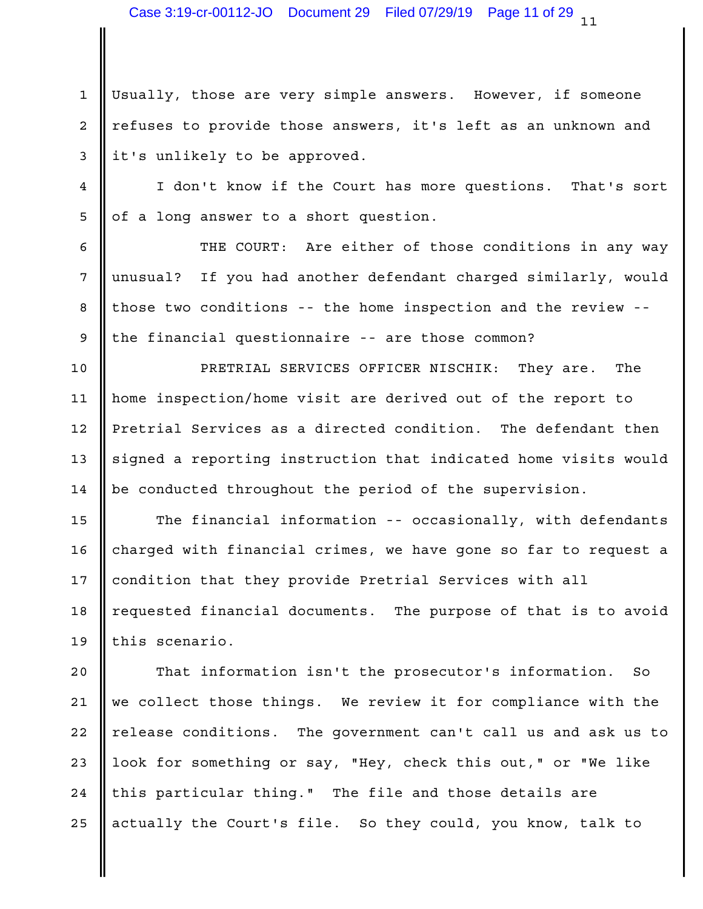1 || Usually, those are very simple answers. However, if someone 2 || refuses to provide those answers, it's left as an unknown and 3 || it's unlikely to be approved.

4 | I don't know if the Court has more questions. That's sort | 5 || of a long answer to a short question.

6 || THE COURT: Are either of those conditions in any way | 7 || unusual? If you had another defendant charged similarly, would | 8 || those two conditions -- the home inspection and the review -- | 9 || the financial questionnaire -- are those common?

PRETRIAL SERVICES OFFICER NISCHIK: They are. The 10 11 || home inspection/home visit are derived out of the report to 12 |Pretrial Services as a directed condition. The defendant then | 13 || signed a reporting instruction that indicated home visits would | 14 | be conducted throughout the period of the supervision.

15 || The financial information -- occasionally, with defendants | charged with financial crimes, we have gone so far to request a 16 17 || condition that they provide Pretrial Services with all 18 || requested financial documents. The purpose of that is to avoid | 19  $\parallel$  this scenario.

20  $\parallel$  That information isn't the prosecutor's information. So  $\parallel$ 21  $\parallel$  we collect those things. We review it for compliance with the  $\parallel$ 22  $\parallel$  release conditions. The government can't call us and ask us to  $\parallel$ 23 || look for something or say, "Hey, check this out," or "We like 24 || this particular thing." The file and those details are Theory I 25 || actually the Court's file. So they could, you know, talk to |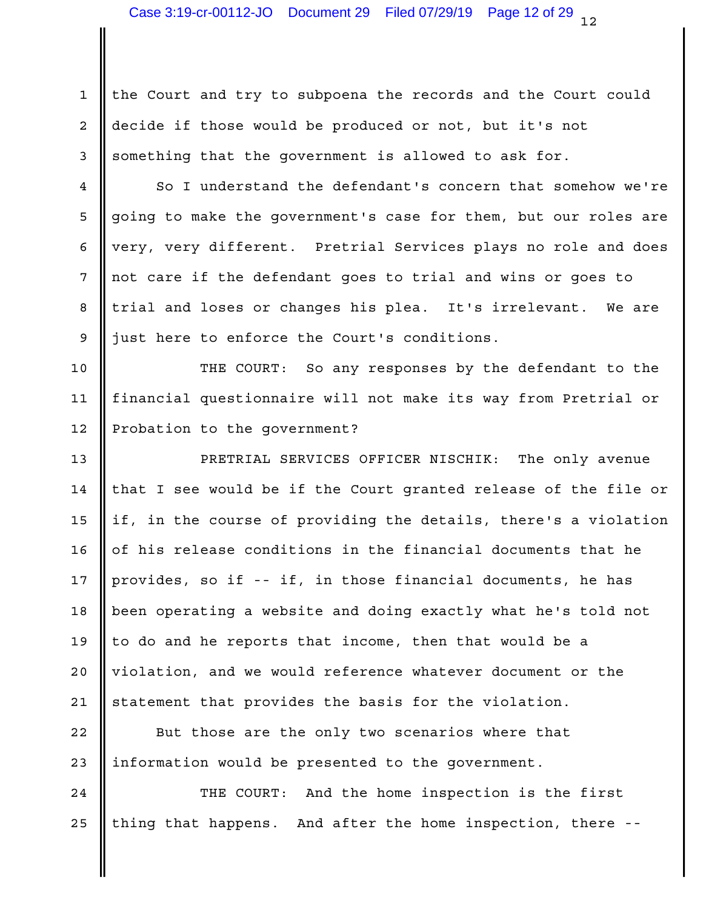$1$  the Court and try to subpoena the records and the Court could 2 || decide if those would be produced or not, but it's not 3 Something that the government is allowed to ask for.

4 | So I understand the defendant's concern that somehow we're 5 going to make the government's case for them, but our roles are | 6 |very, very different. Pretrial Services plays no role and does | 7 || not care if the defendant goes to trial and wins or goes to 8 || trial and loses or changes his plea. It's irrelevant. We are | 9 just here to enforce the Court's conditions.

10 || THE COURT: So any responses by the defendant to the | 11 || financial questionnaire will not make its way from Pretrial or | 12 Probation to the government?

PRETRIAL SERVICES OFFICER NISCHIK: The only avenue 13 14  $\parallel$  that I see would be if the Court granted release of the file or  $\parallel$ 15 || if, in the course of providing the details, there's a violation | 16  $\parallel$  of his release conditions in the financial documents that he  $\parallel$ 17 || provides, so if -- if, in those financial documents, he has 18 || been operating a website and doing exactly what he's told not 19  $\parallel$  to do and he reports that income, then that would be a 20 || violation, and we would reference whatever document or the 21 || statement that provides the basis for the violation.

22 || But those are the only two scenarios where that 23 || information would be presented to the government.

24 || THE COURT: And the home inspection is the first | 25 || thing that happens. And after the home inspection, there -- |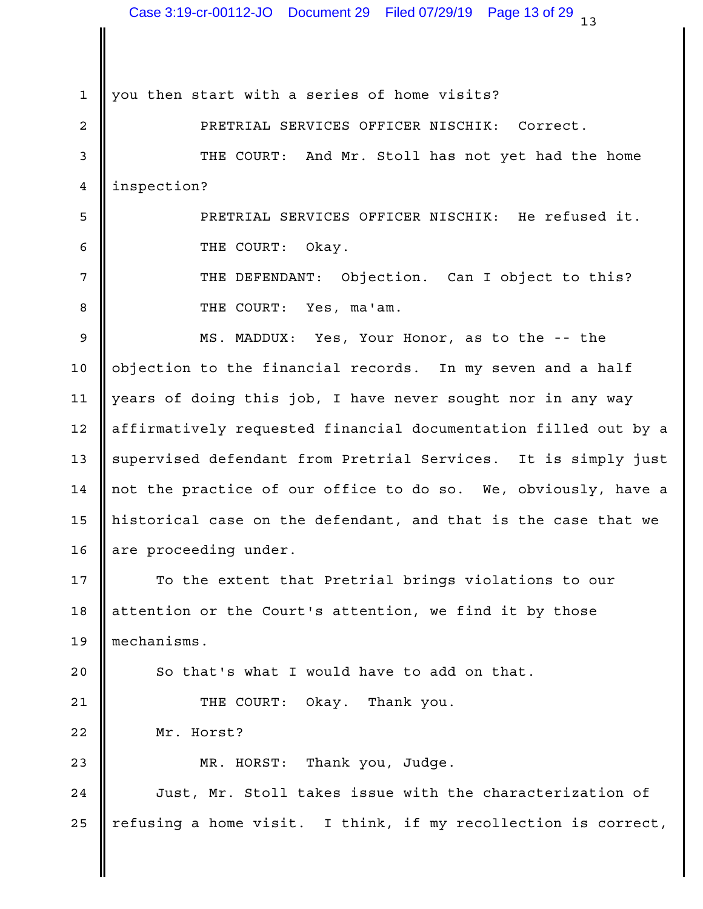1 || you then start with a series of home visits?

PRETRIAL SERVICES OFFICER NISCHIK: Correct. 2 3 || THE COURT: And Mr. Stoll has not yet had the home | 4 | inspection?

PRETRIAL SERVICES OFFICER NISCHIK: He refused it. 5 6 German STRIE COURT: Okay.

7 || THE DEFENDANT: Objection. Can I object to this? | 8 **COURT:** Yes, ma'am.

9 **||** MS. MADDUX: Yes, Your Honor, as to the -- the 10  $\parallel$  objection to the financial records. In my seven and a half  $\parallel$ 11 || years of doing this job, I have never sought nor in any way 12 || affirmatively requested financial documentation filled out by a | 13 || supervised defendant from Pretrial Services. It is simply just | 14  $\parallel$  not the practice of our office to do so. We, obviously, have a  $\parallel$ 15  $\parallel$  historical case on the defendant, and that is the case that we  $\parallel$ 16 are proceeding under.

17 || To the extent that Pretrial brings violations to our || | 18 || attention or the Court's attention, we find it by those Theory I mechanisms. 19

 $20$   $\parallel$  So that's what I would have to add on that.

THE COURT: Okay. Thank you. 21

22 Mr. Horst?

Thank you, Judge. 23 || MR. HORST:

24 || Just, Mr. Stoll takes issue with the characterization of || 25 || refusing a home visit. I think, if my recollection is correct, |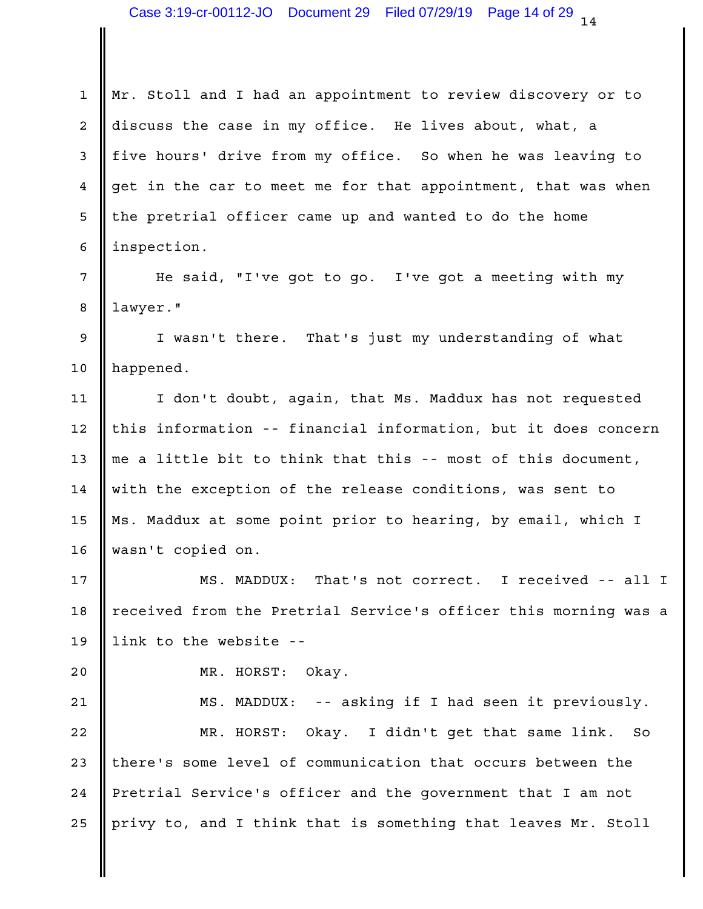1 || Mr. Stoll and I had an appointment to review discovery or to 2 discuss the case in my office. He lives about, what, a 3 || five hours' drive from my office. So when he was leaving to 4 get in the car to meet me for that appointment, that was when 5 || the pretrial officer came up and wanted to do the home 6 | inspection. 7 || He said, "I've got to go. I've got a meeting with my | 8 || lawyer." 9 || I wasn't there. That's just my understanding of what | 10 || happened. 11 || I don't doubt, again, that Ms. Maddux has not requested 12 || this information -- financial information, but it does concern | 13  $\parallel$  me a little bit to think that this -- most of this document, 14 || with the exception of the release conditions, was sent to 15 || Ms. Maddux at some point prior to hearing, by email, which I || wasn't copied on. 16 That's not correct. I received -- all I 18 || received from the Pretrial Service's officer this morning was a | 19  $\parallel$  link to the website --20 NR. HORST: Okay. 21 || MS. MADDUX: -- asking if I had seen it previously. | 22 || MR. HORST: Okay. I didn't get that same link. So | 23 || there's some level of communication that occurs between the 24 Pretrial Service's officer and the government that I am not 25 || privy to, and I think that is something that leaves Mr. Stoll | 17 || MS. MADDUX: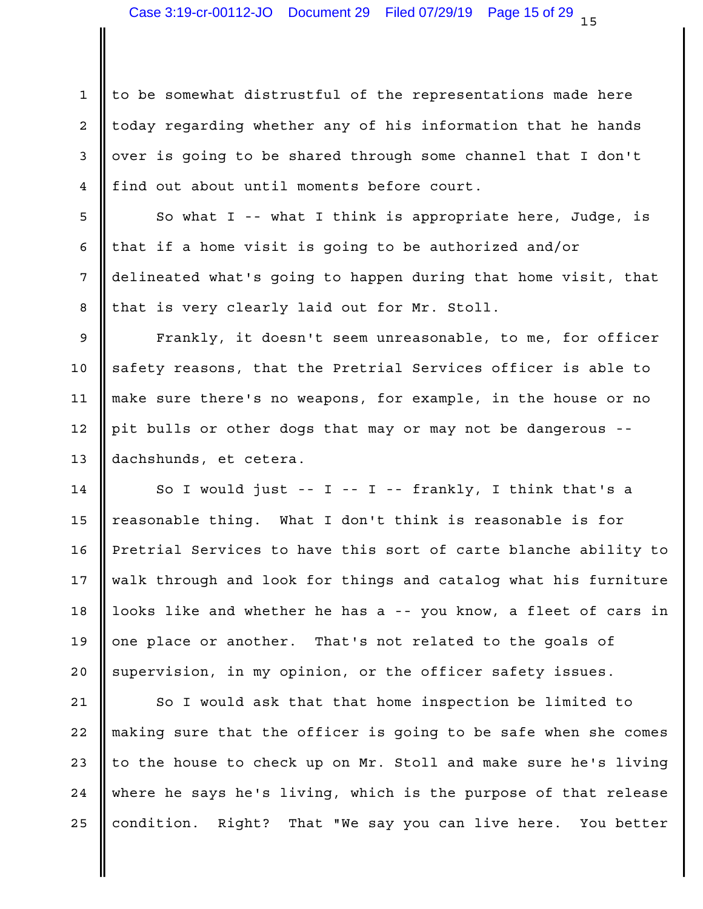1 || to be somewhat distrustful of the representations made here 2 || today regarding whether any of his information that he hands 3 || over is going to be shared through some channel that I don't 4 || find out about until moments before court.

5 || So what I -- what I think is appropriate here, Judge, is || 6 || that if a home visit is going to be authorized and/or  $\qquad \qquad \mid$ 7 || delineated what's going to happen during that home visit, that 8 || that is very clearly laid out for Mr. Stoll.

9 **||** Frankly, it doesn't seem unreasonable, to me, for officer | 10 || safety reasons, that the Pretrial Services officer is able to  $\qquad \qquad \mid$ make sure there's no weapons, for example, in the house or no 11 12 || pit bulls or other dogs that may or may not be dangerous --13 dachshunds, et cetera.

14 || So I would just -- I -- I -- frankly, I think that's a | 15  $\parallel$  reasonable thing. What I don't think is reasonable is for  $\parallel$ 16 | Pretrial Services to have this sort of carte blanche ability to | 17 || walk through and look for things and catalog what his furniture | 18 || looks like and whether he has a -- you know, a fleet of cars in | 19  $\parallel$  one place or another. That's not related to the goals of 20 Supervision, in my opinion, or the officer safety issues.

21 || So I would ask that that home inspection be limited to | 22 || making sure that the officer is going to be safe when she comes | 23  $\parallel$  to the house to check up on Mr. Stoll and make sure he's living  $\parallel$ 24 || where he says he's living, which is the purpose of that release | 25 || condition. Right? That "We say you can live here. You better |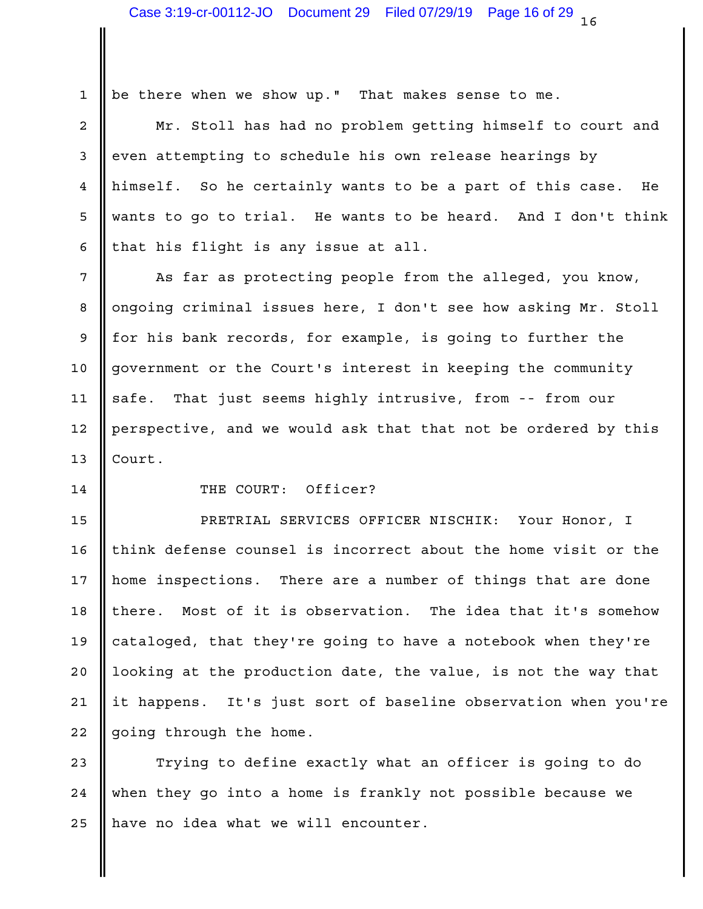1 be there when we show up." That makes sense to me.

2 || Mr. Stoll has had no problem getting himself to court and | 3 even attempting to schedule his own release hearings by 4 || himself. So he certainly wants to be a part of this case. He wants to go to trial. He wants to be heard. And I don't think 5 6 || that his flight is any issue at all.

7 || As far as protecting people from the alleged, you know, | 8 ||ongoing criminal issues here, I don't see how asking Mr. Stoll |  $9 \parallel$  for his bank records, for example, is going to further the  $\parallel$ 10 || government or the Court's interest in keeping the community | 11 || safe. That just seems highly intrusive, from -- from our 12 | perspective, and we would ask that that not be ordered by this 13 || Court.

## 14 **I** THE COURT: Officer?

PRETRIAL SERVICES OFFICER NISCHIK: Your Honor, I 15 16 || think defense counsel is incorrect about the home visit or the | 17 || home inspections. There are a number of things that are done 18 || there. Most of it is observation. The idea that it's somehow | 19 || cataloged, that they're going to have a notebook when they're 20 || looking at the production date, the value, is not the way that 21 || it happens. It's just sort of baseline observation when you're | 22 going through the home.

23 || Trying to define exactly what an officer is going to do | 24 || when they go into a home is frankly not possible because we 25 || have no idea what we will encounter.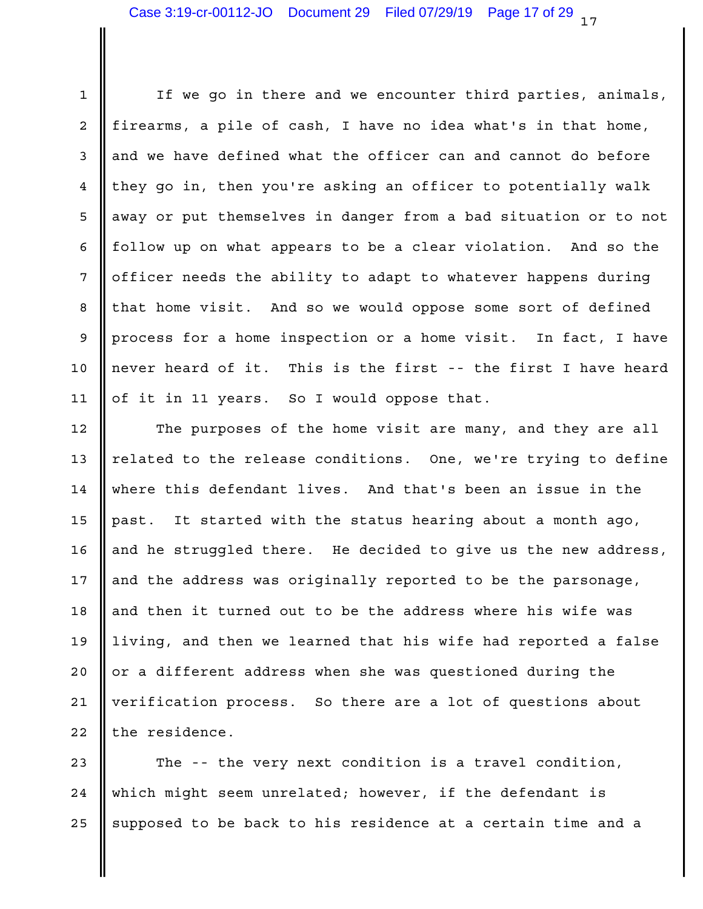1 || If we go in there and we encounter third parties, animals, |  $2$  || firearms, a pile of cash, I have no idea what's in that home,  $\qquad \qquad \mid$ 3 and we have defined what the officer can and cannot do before 4 || they go in, then you're asking an officer to potentially walk | 5 || away or put themselves in danger from a bad situation or to not | 6 || follow up on what appears to be a clear violation. And so the | 7 || officer needs the ability to adapt to whatever happens during 8 || that home visit. And so we would oppose some sort of defined 9 || process for a home inspection or a home visit. In fact, I have | 10  $\parallel$  never heard of it. This is the first -- the first I have heard  $\parallel$ 11 || of it in 11 years. So I would oppose that.

12 || The purposes of the home visit are many, and they are all | 13  $\parallel$  related to the release conditions. One, we're trying to define  $\parallel$ where this defendant lives. And that's been an issue in the 14 15 || past. It started with the status hearing about a month ago, 16 || and he struggled there. He decided to give us the new address, | 17  $\parallel$  and the address was originally reported to be the parsonage,  $\parallel$ 18 || and then it turned out to be the address where his wife was 19 || living, and then we learned that his wife had reported a false | 20 || or a different address when she was questioned during the 21 |verification process. So there are a lot of questions about  $22$  | the residence.

23  $\parallel$  The -- the very next condition is a travel condition,  $\parallel$ which might seem unrelated; however, if the defendant is 24 25  $\parallel$  supposed to be back to his residence at a certain time and a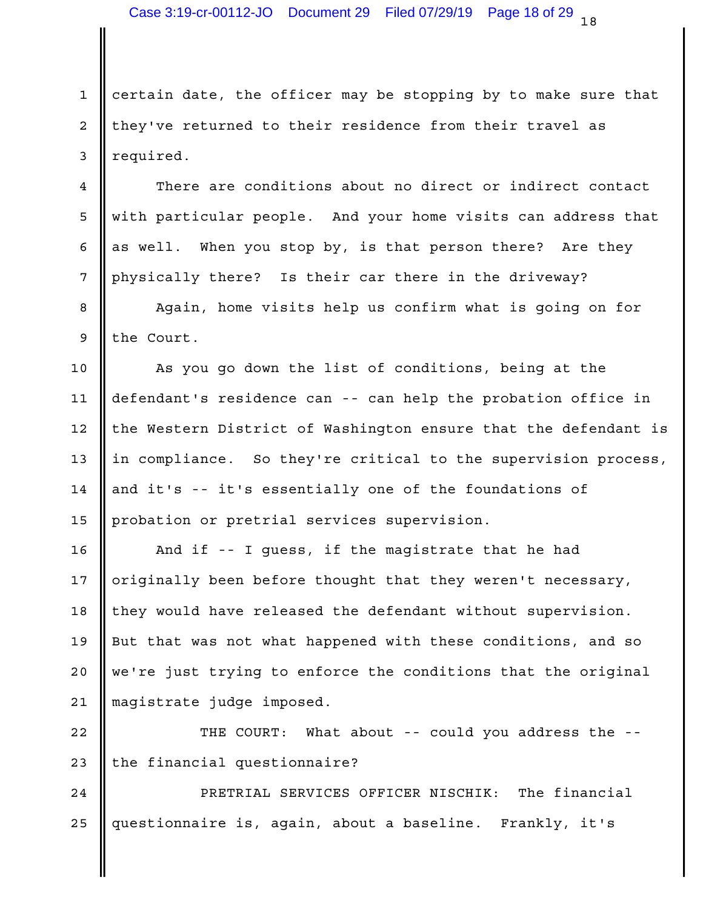1 certain date, the officer may be stopping by to make sure that 2 || they've returned to their residence from their travel as 3 equired.

4 There are conditions about no direct or indirect contact 5 || with particular people. And your home visits can address that 6  $\parallel$  as well. When you stop by, is that person there? Are they  $\parallel$ 7 || physically there? Is their car there in the driveway?

8 || Again, home visits help us confirm what is going on for ||  $9$  the Court.

10 || As you go down the list of conditions, being at the 11 || defendant's residence can -- can help the probation office in 12 || the Western District of Washington ensure that the defendant is | 13 || in compliance. So they're critical to the supervision process, | 14 || and it's -- it's essentially one of the foundations of 15 || probation or pretrial services supervision.

16 || And if -- I guess, if the magistrate that he had 17 || originally been before thought that they weren't necessary, 18 || they would have released the defendant without supervision. 19 || But that was not what happened with these conditions, and so 20 || we're just trying to enforce the conditions that the original | 21 || magistrate judge imposed.

22 || THE COURT: What about -- could you address the -- | 23 || the financial questionnaire?

PRETRIAL SERVICES OFFICER NISCHIK: The financial 24 25 ||questionnaire is, again, about a baseline. Frankly, it's \_\_\_\_\_\_|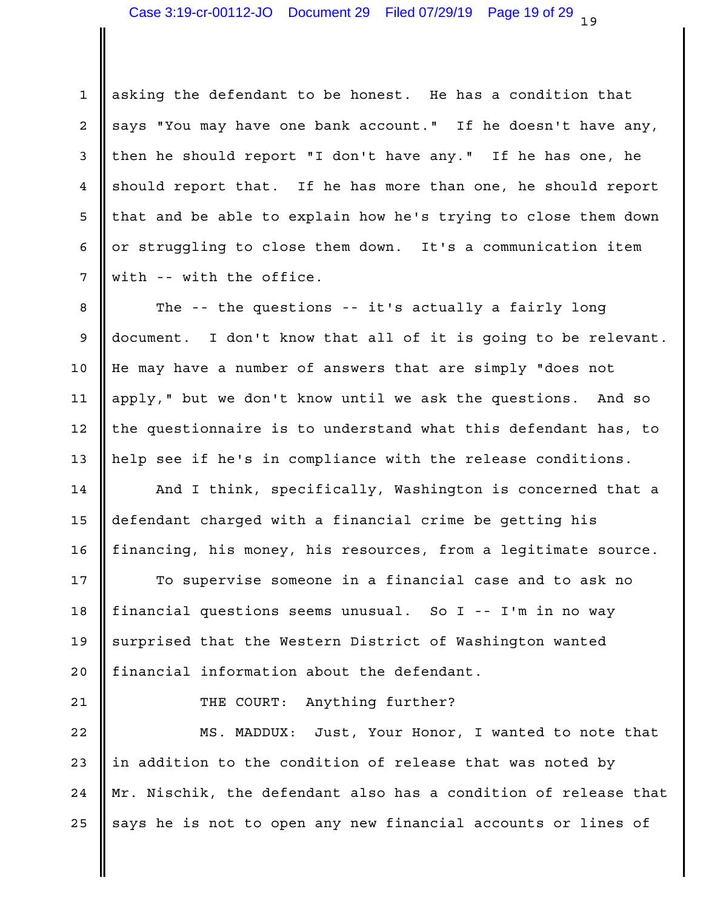$1$  asking the defendant to be honest. He has a condition that 2 says "You may have one bank account." If he doesn't have any, a 3 || then he should report "I don't have any." If he has one, he 4 Should report that. If he has more than one, he should report 5 || that and be able to explain how he's trying to close them down | 6 || or struggling to close them down. It's a communication item 7 with -- with the office.

8 || The -- the questions -- it's actually a fairly long || || || || || || || || || || || || || || || || || || || || || || || || || || || 9 || document. I don't know that all of it is going to be relevant. | 10 || He may have a number of answers that are simply "does not 11 || apply," but we don't know until we ask the questions. And so 12  $\parallel$  the questionnaire is to understand what this defendant has, to  $\parallel$ 13 || help see if he's in compliance with the release conditions.

14 **||** And I think, specifically, Washington is concerned that a || 15 || defendant charged with a financial crime be getting his 16 || financing, his money, his resources, from a legitimate source. |

17 || To supervise someone in a financial case and to ask no | financial questions seems unusual. So I -- I'm in no way 18 19 Surprised that the Western District of Washington wanted 20 || financial information about the defendant.

21 || THE COURT: Anything further?

22 || MS. MADDUX: Just, Your Honor, I wanted to note that | 23  $\parallel$  in addition to the condition of release that was noted by 24 || Mr. Nischik, the defendant also has a condition of release that | 25  $\parallel$  says he is not to open any new financial accounts or lines of  $\parallel$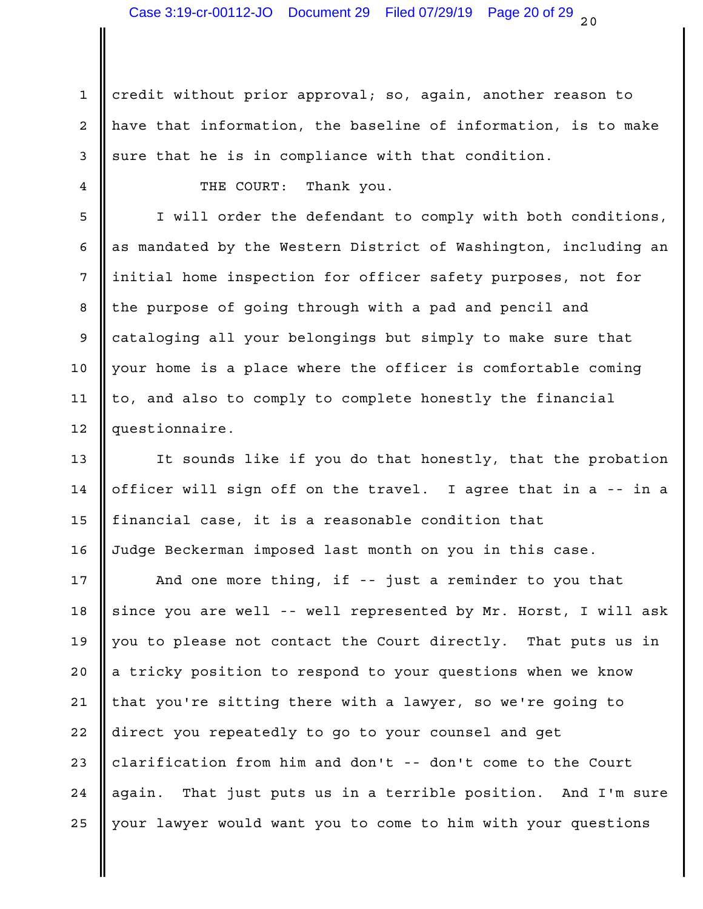1 credit without prior approval; so, again, another reason to 2 || have that information, the baseline of information, is to make | 3 sure that he is in compliance with that condition.

4 **COURT:** Thank you.

5 || I will order the defendant to comply with both conditions, | 6  $\parallel$  as mandated by the Western District of Washington, including an  $\parallel$ 7 || initial home inspection for officer safety purposes, not for 8 || the purpose of going through with a pad and pencil and 9 cataloging all your belongings but simply to make sure that 10 || your home is a place where the officer is comfortable coming | 11  $\parallel$  to, and also to comply to complete honestly the financial  $\parallel$ 12 || questionnaire.

13 || It sounds like if you do that honestly, that the probation | 14  $\parallel$  officer will sign off on the travel. I agree that in a -- in a  $\parallel$  $15$  || financial case, it is a reasonable condition that  $\qquad \qquad \qquad \mid$ Judge Beckerman imposed last month on you in this case. 16

17 || And one more thing, if -- just a reminder to you that | 18 || since you are well -- well represented by Mr. Horst, I will ask | 19  $\parallel$  you to please not contact the Court directly. That puts us in  $\parallel$ 20 || a tricky position to respond to your questions when we know the less of 21 || that you're sitting there with a lawyer, so we're going to Theodo 22 || direct you repeatedly to go to your counsel and get 23 || clarification from him and don't -- don't come to the Court 24 || again. That just puts us in a terrible position. And I'm sure | 25 || your lawyer would want you to come to him with your questions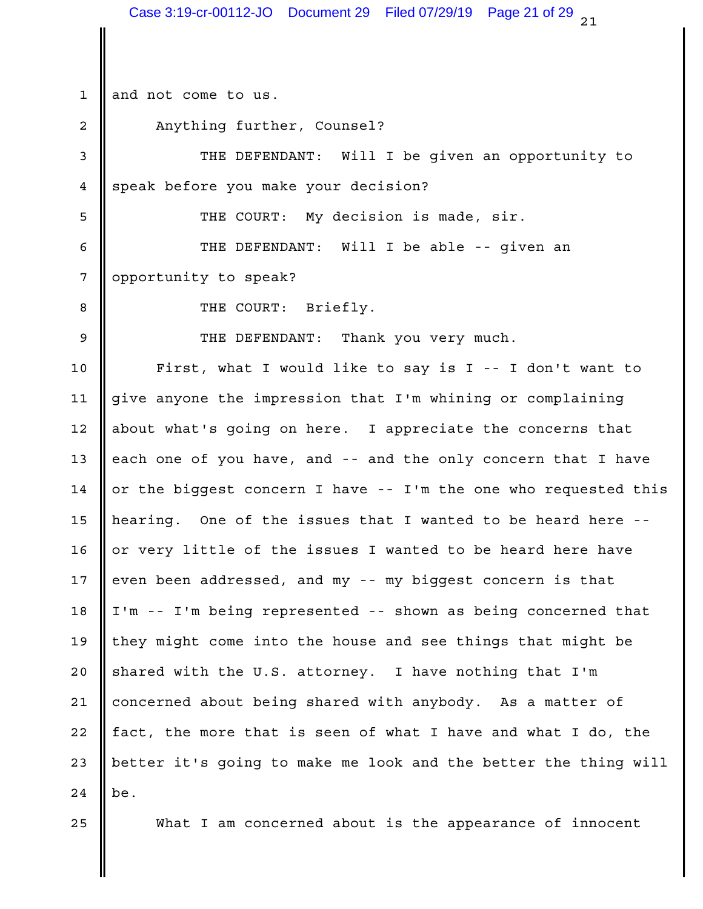$21$ 1 and not come to us. 2 No. 2 Anything further, Counsel? 3 || THE DEFENDANT: Will I be given an opportunity to | 4 speak before you make your decision? THE COURT: My decision is made, sir. 5 THE DEFENDANT: Will I be able -- given an 6 7 || opportunity to speak? THE COURT: Briefly. 8 THE DEFENDANT: Thank you very much. 9 First, what I would like to say is I -- I don't want to 10 11 || give anyone the impression that I'm whining or complaining 12 || about what's going on here. I appreciate the concerns that 13  $\parallel$  each one of you have, and -- and the only concern that I have 14  $\parallel$  or the biggest concern I have -- I'm the one who requested this  $\parallel$ 15  $\parallel$  hearing. One of the issues that I wanted to be heard here --  $\parallel$ 16  $\parallel$  or very little of the issues I wanted to be heard here have  $\parallel$ 17  $\parallel$  even been addressed, and my -- my biggest concern is that  $\parallel$ 18 || I'm -- I'm being represented -- shown as being concerned that 19 || they might come into the house and see things that might be 20 Shared with the U.S. attorney. I have nothing that I'm 21 || concerned about being shared with anybody. As a matter of 22  $\parallel$  fact, the more that is seen of what I have and what I do, the 23  $\parallel$  better it's going to make me look and the better the thing will  $\parallel$ be. 25 || What I am concerned about is the appearance of innocent  $24$  be. Case 3:19-cr-00112-JO Document 29 Filed 07/29/19 Page 21 of 29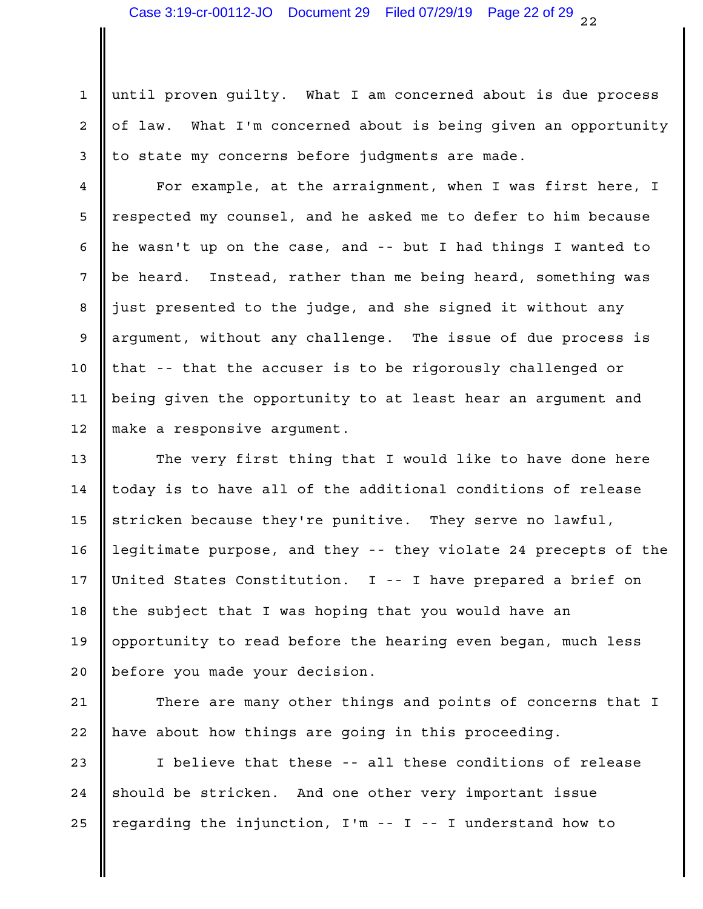1 until proven guilty. What I am concerned about is due process 2 || of law. What I'm concerned about is being given an opportunity | 3 || to state my concerns before judgments are made.

4 **||** For example, at the arraignment, when I was first here, I | 5 || respected my counsel, and he asked me to defer to him because 6  $\parallel$  he wasn't up on the case, and -- but I had things I wanted to  $\parallel$ 7 || be heard. Instead, rather than me being heard, something was 8 || just presented to the judge, and she signed it without any Theory 9 || argument, without any challenge. The issue of due process is 10 || that -- that the accuser is to be rigorously challenged or 11 || being given the opportunity to at least hear an argument and 12 || make a responsive argument.

13  $\parallel$  The very first thing that I would like to have done here  $\parallel$ 14  $\parallel$  today is to have all of the additional conditions of release  $\parallel$ 15  $\parallel$  stricken because they're punitive. They serve no lawful,  $\parallel$ legitimate purpose, and they -- they violate 24 precepts of the 16 17 || United States Constitution. I -- I have prepared a brief on 18 || the subject that I was hoping that you would have an 19 || opportunity to read before the hearing even began, much less before you made your decision. 20

21  $\parallel$  There are many other things and points of concerns that I  $\parallel$ 22 || have about how things are going in this proceeding.

23 || I believe that these -- all these conditions of release 24 || should be stricken. And one other very important issue 25  $\parallel$  regarding the injunction, I'm -- I -- I understand how to  $\parallel$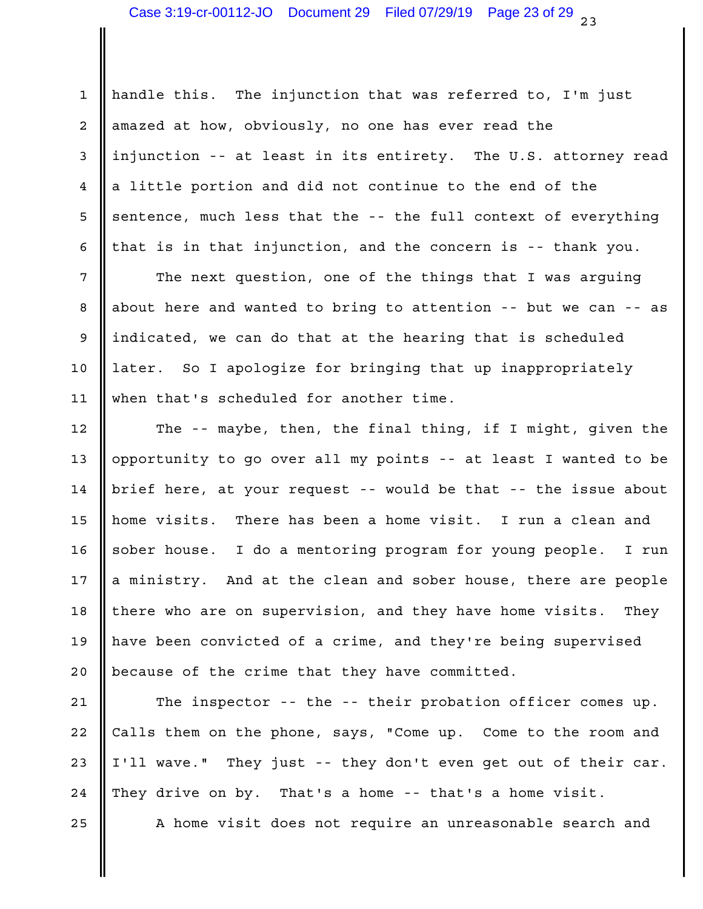1 || handle this. The injunction that was referred to, I'm just 2 || amazed at how, obviously, no one has ever read the 3 ||injunction -- at least in its entirety. The U.S. attorney read | 4 || a little portion and did not continue to the end of the 5 Sentence, much less that the -- the full context of everything | 6 || that is in that injunction, and the concern is -- thank you.

7 || The next question, one of the things that I was arguing |  $8$  || about here and wanted to bring to attention -- but we can -- as | 9 ||indicated, we can do that at the hearing that is scheduled 10 || later. So I apologize for bringing that up inappropriately and all the set of the set of the l when that's scheduled for another time. 11

12  $\parallel$  The -- maybe, then, the final thing, if I might, given the  $\parallel$ 13  $\parallel$  opportunity to go over all my points -- at least I wanted to be  $\parallel$ 14 | brief here, at your request -- would be that -- the issue about | 15 || home visits. There has been a home visit. I run a clean and 16 || sober house. I do a mentoring program for young people. I run | 17  $\parallel$  a ministry. And at the clean and sober house, there are people  $\parallel$ 18 || there who are on supervision, and they have home visits. They | 19 || have been convicted of a crime, and they're being supervised 20 || because of the crime that they have committed.

21 | The inspector -- the -- their probation officer comes up. 22 Calls them on the phone, says, "Come up. Come to the room and 23  $\parallel$  I'll wave." They just -- they don't even get out of their car.  $\parallel$ 24  $\parallel$  They drive on by. That's a home -- that's a home visit.

25 || A home visit does not require an unreasonable search and |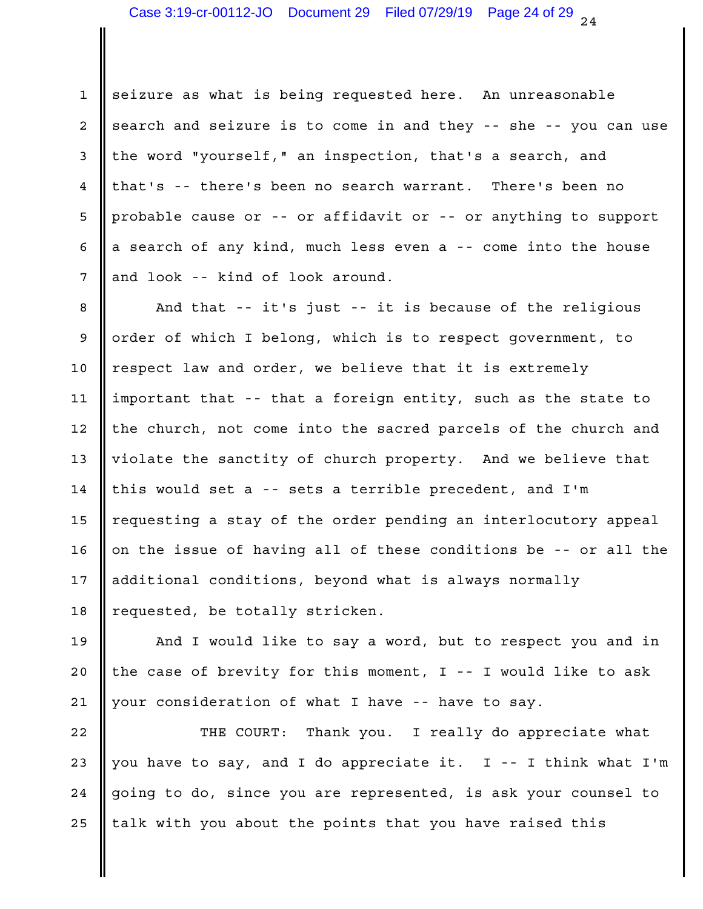1 seizure as what is being requested here. An unreasonable  $2$  search and seizure is to come in and they -- she -- you can use  $\vert$ 3 || the word "yourself," an inspection, that's a search, and 4 || that's -- there's been no search warrant. There's been no 5 || probable cause or -- or affidavit or -- or anything to support | 6 || a search of any kind, much less even a -- come into the house 7 and look -- kind of look around.

8 || And that -- it's just -- it is because of the religious || 9 || order of which I belong, which is to respect government, to 10 || respect law and order, we believe that it is extremely when the lost of 11 ||important that -- that a foreign entity, such as the state to 12  $\parallel$  the church, not come into the sacred parcels of the church and  $\parallel$ 13  $\parallel$  violate the sanctity of church property. And we believe that 14 || this would set a -- sets a terrible precedent, and I'm 15 || requesting a stay of the order pending an interlocutory appeal | 16  $\parallel$  on the issue of having all of these conditions be -- or all the  $\parallel$ 17 || additional conditions, beyond what is always normally 18 || requested, be totally stricken.

19 || And I would like to say a word, but to respect you and in | 20  $\parallel$  the case of brevity for this moment, I -- I would like to ask  $\parallel$ 21 || your consideration of what I have -- have to say.

22 || THE COURT: Thank you. I really do appreciate what | 23  $\parallel$  you have to say, and I do appreciate it. I -- I think what I'm  $\parallel$ 24 || going to do, since you are represented, is ask your counsel to  $\qquad \vert$ 25  $\parallel$  talk with you about the points that you have raised this  $\parallel$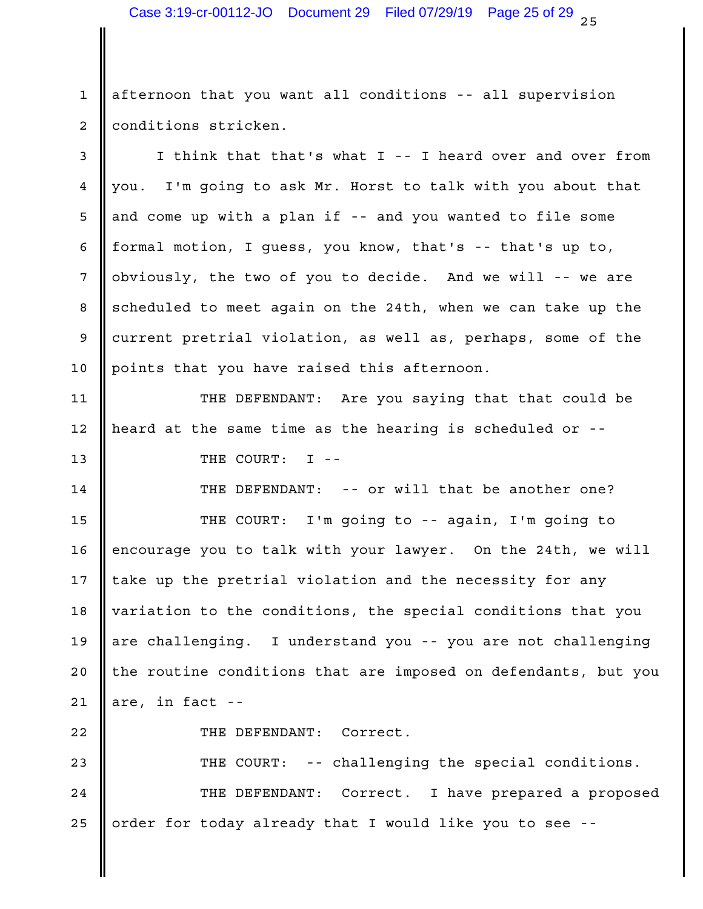1 || afternoon that you want all conditions -- all supervision 2 | conditions stricken.

3 || I think that that's what I -- I heard over and over from 4 ||you. I'm going to ask Mr. Horst to talk with you about that 5 || and come up with a plan if -- and you wanted to file some 6 || formal motion, I guess, you know, that's -- that's up to,  $\begin{array}{|l|} \hline \end{array}$   $\begin{array}{|l|} \hline \end{array}$   $\hline$   $\hline$   $\hline$   $\hline$   $\hline$   $\hline$   $\hline$   $\hline$   $\hline$   $\hline$   $\hline$   $\hline$   $\hline$   $\hline$   $\hline$   $\hline$   $\hline$   $\hline$   $\hline$   $\hline$   $\hline$   $\hline$   $\hline$   $\hline$   $\hline$   $\hline$   $\hline$   $\hline$   $\hline$   $\hline$  8 scheduled to meet again on the 24th, when we can take up the 9 current pretrial violation, as well as, perhaps, some of the 10 || points that you have raised this afternoon.

11 || THE DEFENDANT: Are you saying that that could be | 12 || heard at the same time as the hearing is scheduled or --13 THE COURT: I --

14 || THE DEFENDANT: -- or will that be another one? | 15 || THE COURT: I'm going to -- again, I'm going to | 16 |encourage you to talk with your lawyer. On the 24th, we will | 17  $\parallel$  take up the pretrial violation and the necessity for any  $\parallel$ 18 || variation to the conditions, the special conditions that you || 19 || are challenging. I understand you -- you are not challenging 20 || the routine conditions that are imposed on defendants, but you 21 || are, in fact  $-$ 

22 | THE DEFENDANT: Correct.

-- challenging the special conditions. 24 || THE DEFENDANT: Correct. I have prepared a proposed | order for today already that I would like you to see -- 25 23 || THE COURT: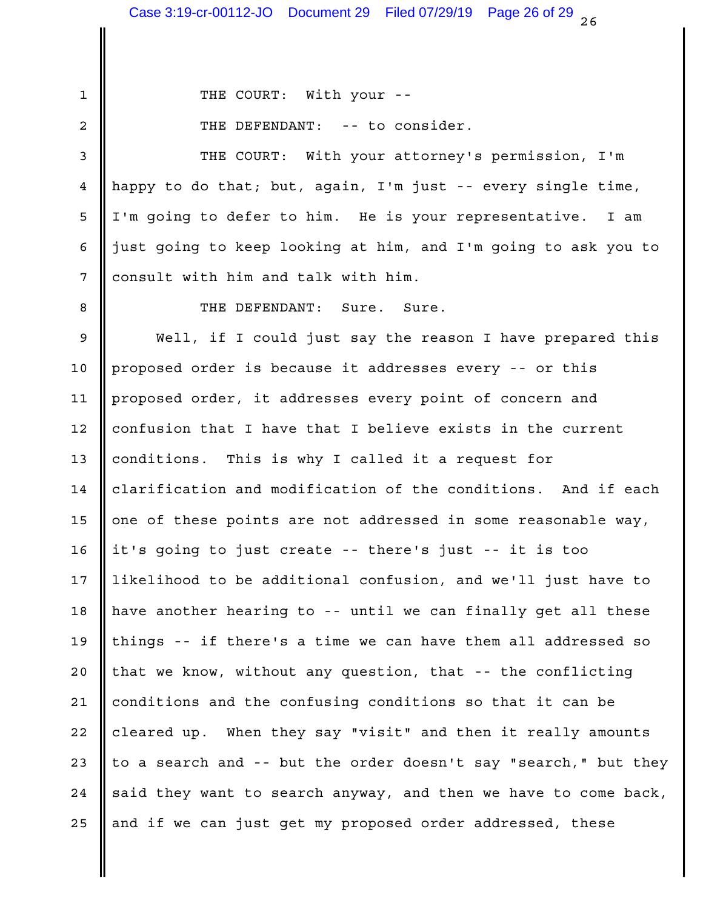1 THE COURT: With your --

THE DEFENDANT: -- to consider. 2

3 || THE COURT: With your attorney's permission, I'm happy to do that; but, again, I'm just -- every single time, 4 5 || I'm going to defer to him. He is your representative. I am 6 || just going to keep looking at him, and I'm going to ask you to | 7 consult with him and talk with him.

8 **CALCE SURFENDANT:** Sure. Sure.

9 Well, if I could just say the reason I have prepared this 10 || proposed order is because it addresses every -- or this 11 || proposed order, it addresses every point of concern and 12 || confusion that I have that I believe exists in the current 13 || conditions. This is why I called it a request for 14 || clarification and modification of the conditions. And if each | 15  $\parallel$  one of these points are not addressed in some reasonable way,  $\parallel$ it's going to just create -- there's just -- it is too 16 17 || likelihood to be additional confusion, and we'll just have to  $\qquad \qquad \mid$ 18 || have another hearing to -- until we can finally get all these || 19  $\parallel$  things -- if there's a time we can have them all addressed so  $\parallel$ 20 || that we know, without any question, that -- the conflicting | 21  $\parallel$  conditions and the confusing conditions so that it can be 22 || cleared up. When they say "visit" and then it really amounts | 23  $\parallel$  to a search and -- but the order doesn't say "search," but they  $\parallel$ 24  $\parallel$  said they want to search anyway, and then we have to come back,  $\parallel$ 25 || and if we can just get my proposed order addressed, these  $\qquad$  |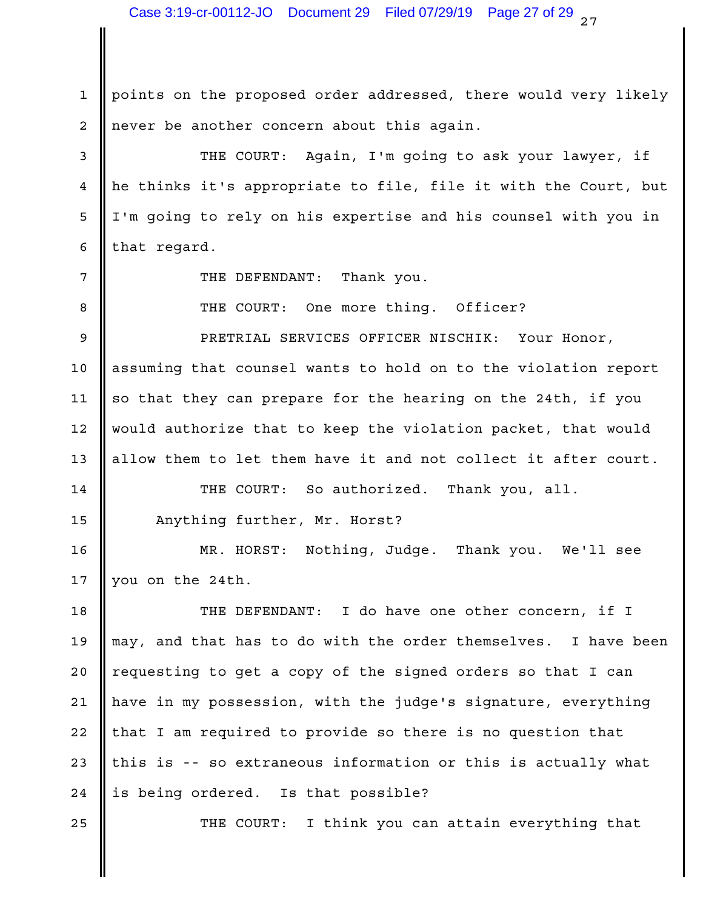1 || points on the proposed order addressed, there would very likely | 2 || never be another concern about this again.

3 || THE COURT: Again, I'm going to ask your lawyer, if | 4 || he thinks it's appropriate to file, file it with the Court, but | 5 || I'm going to rely on his expertise and his counsel with you in |  $\begin{array}{|c|c|c|c|c|}\n\hline\n6 & \text{that regard.} \end{array}$ 

THE DEFENDANT: Thank you.

One more thing. Officer? 8 **II** THE COURT:

PRETRIAL SERVICES OFFICER NISCHIK: Your Honor, 9

10 || assuming that counsel wants to hold on to the violation report | 11  $\parallel$  so that they can prepare for the hearing on the 24th, if you  $\parallel$ 12 || would authorize that to keep the violation packet, that would | 13 || allow them to let them have it and not collect it after court.  $\vert$ 

14 || THE COURT: So authorized. Thank you, all. | 15 || Anything further, Mr. Horst?

MR. HORST: Nothing, Judge. Thank you. We'll see 16 17 || you on the  $24th$ .

18 || THE DEFENDANT: I do have one other concern, if I | may, and that has to do with the order themselves. I have been 19 20 || requesting to get a copy of the signed orders so that I can 21 || have in my possession, with the judge's signature, everything | 22 || that I am required to provide so there is no question that 23  $\parallel$  this is -- so extraneous information or this is actually what  $\parallel$ 24 || is being ordered. Is that possible?

25 || THE COURT: I think you can attain everything that |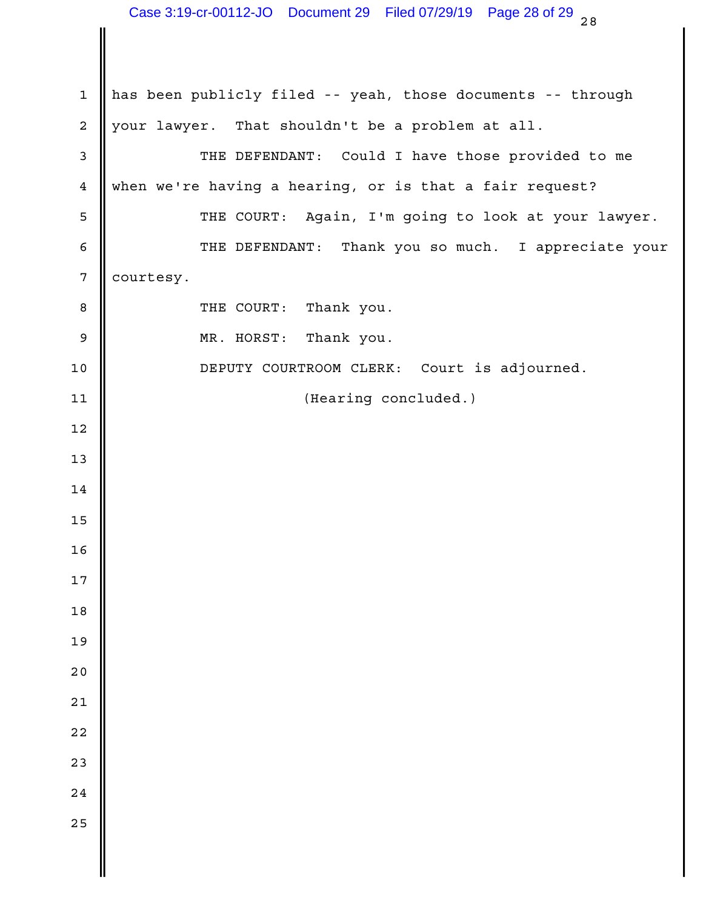1 || has been publicly filed -- yeah, those documents -- through 2 || your lawyer. That shouldn't be a problem at all. 3 || THE DEFENDANT: Could I have those provided to me when we're having a hearing, or is that a fair request? 5 || THE COURT: Again, I'm going to look at your lawyer. | THE DEFENDANT: Thank you so much. I appreciate your 7 courtesy. Thank you. Thank you. DEPUTY COURTROOM CLERK: Court is adjourned. (Hearing concluded.) 8 || THE COURT:  $\parallel$  MR. HORST:  $\parallel$   $\parallel$  $\blacksquare$  13  $\blacksquare$  ||  $\parallel$   $\parallel$   $\parallel$   $\parallel$   $\blacksquare$  $\parallel$  $\parallel$  $\parallel$   $\parallel$  $\parallel$